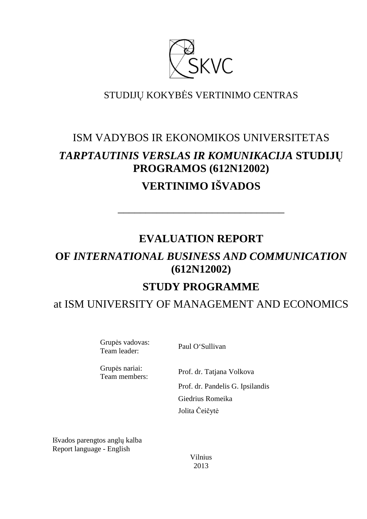

### STUDIJŲ KOKYBĖS VERTINIMO CENTRAS

# ISM VADYBOS IR EKONOMIKOS UNIVERSITETAS *TARPTAUTINIS VERSLAS IR KOMUNIKACIJA* **STUDIJŲ PROGRAMOS (612N12002) VERTINIMO IŠVADOS**

## **EVALUATION REPORT**

––––––––––––––––––––––––––––––

# **OF** *INTERNATIONAL BUSINESS AND COMMUNICATION*  **(612N12002)**

## **STUDY PROGRAMME**

### at ISM UNIVERSITY OF MANAGEMENT AND ECONOMICS

Grupės vadovas: Team leader: Paul O'Sullivan

Grupės nariai:<br>Team members:

Prof. dr. Tatjana Volkova

Prof. dr. Pandelis G. Ipsilandis Giedrius Romeika Jolita Čeičytė

Išvados parengtos anglų kalba Report language - English

> Vilnius 2013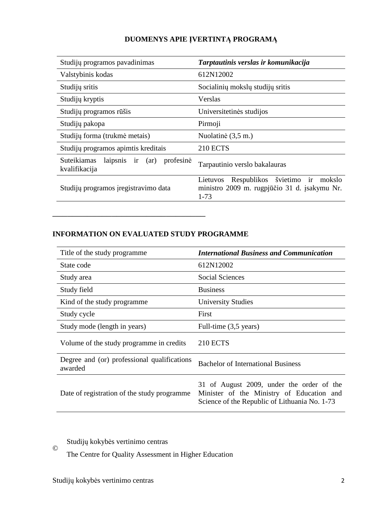### **DUOMENYS APIE ĮVERTINTĄ PROGRAMĄ**

| Studijų programos pavadinimas                                      | Tarptautinis verslas ir komunikacija                                                                   |  |
|--------------------------------------------------------------------|--------------------------------------------------------------------------------------------------------|--|
| Valstybinis kodas                                                  | 612N12002                                                                                              |  |
| Studijų sritis                                                     | Socialinių mokslų studijų sritis                                                                       |  |
| Studijų kryptis                                                    | Verslas                                                                                                |  |
| Studijų programos rūšis                                            | Universitetinės studijos                                                                               |  |
| Studijų pakopa                                                     | Pirmoji                                                                                                |  |
| Studijų forma (trukmė metais)                                      | Nuolatinė (3,5 m.)                                                                                     |  |
| Studijų programos apimtis kreditais                                | <b>210 ECTS</b>                                                                                        |  |
| $l$ aipsnis ir $(ar)$<br>Suteikiamas<br>profesinė<br>kvalifikacija | Tarpautinio verslo bakalauras                                                                          |  |
| Studijų programos įregistravimo data                               | Respublikos švietimo ir mokslo<br>Lietuvos<br>ministro 2009 m. rugpjūčio 31 d. įsakymu Nr.<br>$1 - 73$ |  |

#### **INFORMATION ON EVALUATED STUDY PROGRAMME**

–––––––––––––––––––––––––––––––

| Title of the study programme.                          | <b>International Business and Communication</b>                                                                                         |
|--------------------------------------------------------|-----------------------------------------------------------------------------------------------------------------------------------------|
| State code                                             | 612N12002                                                                                                                               |
| Study area                                             | <b>Social Sciences</b>                                                                                                                  |
| Study field                                            | <b>Business</b>                                                                                                                         |
| Kind of the study programme                            | <b>University Studies</b>                                                                                                               |
| Study cycle                                            | First                                                                                                                                   |
| Study mode (length in years)                           | Full-time (3,5 years)                                                                                                                   |
| Volume of the study programme in credits               | <b>210 ECTS</b>                                                                                                                         |
| Degree and (or) professional qualifications<br>awarded | <b>Bachelor of International Business</b>                                                                                               |
| Date of registration of the study programme            | 31 of August 2009, under the order of the<br>Minister of the Ministry of Education and<br>Science of the Republic of Lithuania No. 1-73 |

Studijų kokybės vertinimo centras

The Centre for Quality Assessment in Higher Education

©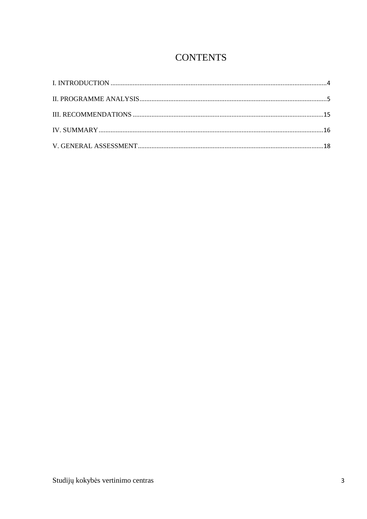# **CONTENTS**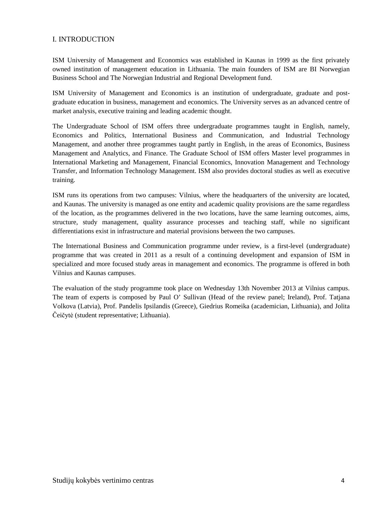#### I. INTRODUCTION

ISM University of Management and Economics was established in Kaunas in 1999 as the first privately owned institution of management education in Lithuania. The main founders of ISM are BI Norwegian Business School and The Norwegian Industrial and Regional Development fund.

ISM University of Management and Economics is an institution of undergraduate, graduate and postgraduate education in business, management and economics. The University serves as an advanced centre of market analysis, executive training and leading academic thought.

The Undergraduate School of ISM offers three undergraduate programmes taught in English, namely, Economics and Politics, International Business and Communication, and Industrial Technology Management, and another three programmes taught partly in English, in the areas of Economics, Business Management and Analytics, and Finance. The Graduate School of ISM offers Master level programmes in International Marketing and Management, Financial Economics, Innovation Management and Technology Transfer, and Information Technology Management. ISM also provides doctoral studies as well as executive training.

ISM runs its operations from two campuses: Vilnius, where the headquarters of the university are located, and Kaunas. The university is managed as one entity and academic quality provisions are the same regardless of the location, as the programmes delivered in the two locations, have the same learning outcomes, aims, structure, study management, quality assurance processes and teaching staff, while no significant differentiations exist in infrastructure and material provisions between the two campuses.

The International Business and Communication programme under review, is a first-level (undergraduate) programme that was created in 2011 as a result of a continuing development and expansion of ISM in specialized and more focused study areas in management and economics. The programme is offered in both Vilnius and Kaunas campuses.

The evaluation of the study programme took place on Wednesday 13th November 2013 at Vilnius campus. The team of experts is composed by Paul O' Sullivan (Head of the review panel; Ireland), Prof. Tatjana Volkova (Latvia), Prof. Pandelis Ipsilandis (Greece), Giedrius Romeika (academician, Lithuania), and Jolita Čeičytė (student representative; Lithuania).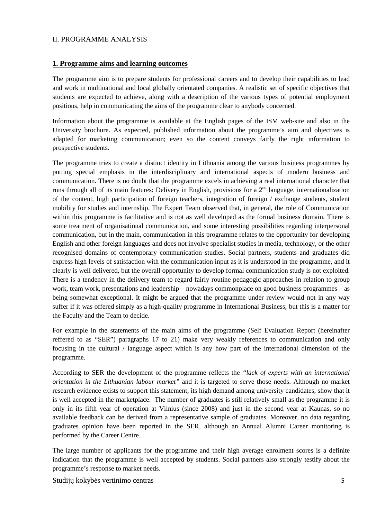#### II. PROGRAMME ANALYSIS

#### **1. Programme aims and learning outcomes**

The programme aim is to prepare students for professional careers and to develop their capabilities to lead and work in multinational and local globally orientated companies. A realistic set of specific objectives that students are expected to achieve, along with a description of the various types of potential employment positions, help in communicating the aims of the programme clear to anybody concerned.

Information about the programme is available at the English pages of the ISM web-site and also in the University brochure. As expected, published information about the programme's aim and objectives is adapted for marketing communication; even so the content conveys fairly the right information to prospective students.

The programme tries to create a distinct identity in Lithuania among the various business programmes by putting special emphasis in the interdisciplinary and international aspects of modern business and communication. There is no doubt that the programme excels in achieving a real international character that runs through all of its main features: Delivery in English, provisions for a  $2<sup>nd</sup>$  language, internationalization of the content, high participation of foreign teachers, integration of foreign / exchange students, student mobility for studies and internship. The Expert Team observed that, in general, the role of Communication within this programme is facilitative and is not as well developed as the formal business domain. There is some treatment of organisational communication, and some interesting possibilities regarding interpersonal communication, but in the main, communication in this programme relates to the opportunity for developing English and other foreign languages and does not involve specialist studies in media, technology, or the other recognised domains of contemporary communication studies. Social partners, students and graduates did express high levels of satisfaction with the communication input as it is understood in the programme, and it clearly is well delivered, but the overall opportunity to develop formal communication study is not exploited. There is a tendency in the delivery team to regard fairly routine pedagogic approaches in relation to group work, team work, presentations and leadership – nowadays commonplace on good business programmes – as being somewhat exceptional. It might be argued that the programme under review would not in any way suffer if it was offered simply as a high-quality programme in International Business; but this is a matter for the Faculty and the Team to decide.

For example in the statements of the main aims of the programme (Self Evaluation Report (hereinafter reffered to as "SER") paragraphs 17 to 21) make very weakly references to communication and only focusing in the cultural / language aspect which is any how part of the international dimension of the programme.

According to SER the development of the programme reflects the *"lack of experts with an international orientation in the Lithuanian labour market"* and it is targeted to serve those needs. Although no market research evidence exists to support this statement, its high demand among university candidates, show that it is well accepted in the marketplace. The number of graduates is still relatively small as the programme it is only in its fifth year of operation at Vilnius (since 2008) and just in the second year at Kaunas, so no available feedback can be derived from a representative sample of graduates. Moreover, no data regarding graduates opinion have been reported in the SER, although an Annual Alumni Career monitoring is performed by the Career Centre.

The large number of applicants for the programme and their high average enrolment scores is a definite indication that the programme is well accepted by students. Social partners also strongly testify about the programme's response to market needs.

Studijų kokybės vertinimo centras 5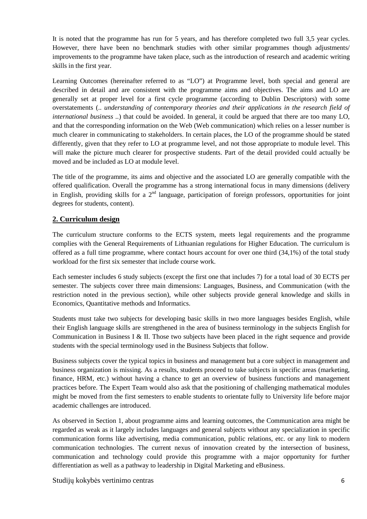It is noted that the programme has run for 5 years, and has therefore completed two full 3,5 year cycles. However, there have been no benchmark studies with other similar programmes though adjustments/ improvements to the programme have taken place, such as the introduction of research and academic writing skills in the first year.

Learning Outcomes (hereinafter referred to as "LO") at Programme level, both special and general are described in detail and are consistent with the programme aims and objectives. The aims and LO are generally set at proper level for a first cycle programme (according to Dublin Descriptors) with some overstatements (.. *understanding of contemporary theories and their applications in the research field of international business ..*) that could be avoided. In general, it could be argued that there are too many LO, and that the corresponding information on the Web (Web communication) which relies on a lesser number is much clearer in communicating to stakeholders. In certain places, the LO of the programme should be stated differently, given that they refer to LO at programme level, and not those appropriate to module level. This will make the picture much clearer for prospective students. Part of the detail provided could actually be moved and be included as LO at module level.

The title of the programme, its aims and objective and the associated LO are generally compatible with the offered qualification. Overall the programme has a strong international focus in many dimensions (delivery in English, providing skills for a  $2<sup>nd</sup>$  language, participation of foreign professors, opportunities for joint degrees for students, content).

#### **2. Curriculum design**

The curriculum structure conforms to the ECTS system, meets legal requirements and the programme complies with the General Requirements of Lithuanian regulations for Higher Education. The curriculum is offered as a full time programme, where contact hours account for over one third (34,1%) of the total study workload for the first six semester that include course work.

Each semester includes 6 study subjects (except the first one that includes 7) for a total load of 30 ECTS per semester. The subjects cover three main dimensions: Languages, Business, and Communication (with the restriction noted in the previous section), while other subjects provide general knowledge and skills in Economics, Quantitative methods and Informatics.

Students must take two subjects for developing basic skills in two more languages besides English, while their English language skills are strengthened in the area of business terminology in the subjects English for Communication in Business I & II. Those two subjects have been placed in the right sequence and provide students with the special terminology used in the Business Subjects that follow.

Business subjects cover the typical topics in business and management but a core subject in management and business organization is missing. As a results, students proceed to take subjects in specific areas (marketing, finance, HRM, etc.) without having a chance to get an overview of business functions and management practices before. The Expert Team would also ask that the positioning of challenging mathematical modules might be moved from the first semesters to enable students to orientate fully to University life before major academic challenges are introduced.

As observed in Section 1, about programme aims and learning outcomes, the Communication area might be regarded as weak as it largely includes languages and general subjects without any specialization in specific communication forms like advertising, media communication, public relations, etc. or any link to modern communication technologies. The current nexus of innovation created by the intersection of business, communication and technology could provide this programme with a major opportunity for further differentiation as well as a pathway to leadership in Digital Marketing and eBusiness.

Studijų kokybės vertinimo centras 6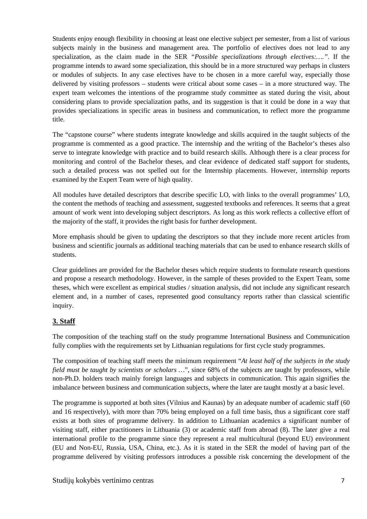Students enjoy enough flexibility in choosing at least one elective subject per semester, from a list of various subjects mainly in the business and management area. The portfolio of electives does not lead to any specialization, as the claim made in the SER *"Possible specializations through electives:…."*. If the programme intends to award some specialization, this should be in a more structured way perhaps in clusters or modules of subjects. In any case electives have to be chosen in a more careful way, especially those delivered by visiting professors – students were critical about some cases – in a more structured way. The expert team welcomes the intentions of the programme study committee as stated during the visit, about considering plans to provide specialization paths, and its suggestion is that it could be done in a way that provides specializations in specific areas in business and communication, to reflect more the programme title.

The "capstone course" where students integrate knowledge and skills acquired in the taught subjects of the programme is commented as a good practice. The internship and the writing of the Bachelor's theses also serve to integrate knowledge with practice and to build research skills. Although there is a clear process for monitoring and control of the Bachelor theses, and clear evidence of dedicated staff support for students, such a detailed process was not spelled out for the Internship placements. However, internship reports examined by the Expert Team were of high quality.

All modules have detailed descriptors that describe specific LO, with links to the overall programmes' LO, the content the methods of teaching and assessment, suggested textbooks and references. It seems that a great amount of work went into developing subject descriptors. As long as this work reflects a collective effort of the majority of the staff, it provides the right basis for further development.

More emphasis should be given to updating the descriptors so that they include more recent articles from business and scientific journals as additional teaching materials that can be used to enhance research skills of students.

Clear guidelines are provided for the Bachelor theses which require students to formulate research questions and propose a research methodology. However, in the sample of theses provided to the Expert Team, some theses, which were excellent as empirical studies / situation analysis, did not include any significant research element and, in a number of cases, represented good consultancy reports rather than classical scientific inquiry.

### **3. Staff**

The composition of the teaching staff on the study programme International Business and Communication fully complies with the requirements set by Lithuanian regulations for first cycle study programmes.

The composition of teaching staff meets the minimum requirement "*At least half of the subjects in the study field must be taught by scientists or scholars …*", since 68% of the subjects are taught by professors, while non-Ph.D. holders teach mainly foreign languages and subjects in communication. This again signifies the imbalance between business and communication subjects, where the later are taught mostly at a basic level.

The programme is supported at both sites (Vilnius and Kaunas) by an adequate number of academic staff (60 and 16 respectively), with more than 70% being employed on a full time basis, thus a significant core staff exists at both sites of programme delivery. In addition to Lithuanian academics a significant number of visiting staff, either practitioners in Lithuania (3) or academic staff from abroad (8). The later give a real international profile to the programme since they represent a real multicultural (beyond EU) environment (EU and Non-EU, Russia, USA, China, etc.). As it is stated in the SER the model of having part of the programme delivered by visiting professors introduces a possible risk concerning the development of the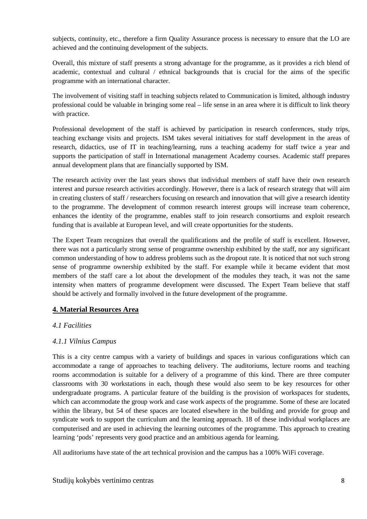subjects, continuity, etc., therefore a firm Quality Assurance process is necessary to ensure that the LO are achieved and the continuing development of the subjects.

Overall, this mixture of staff presents a strong advantage for the programme, as it provides a rich blend of academic, contextual and cultural  $/$  ethnical backgrounds that is crucial for the aims of the specific programme with an international character.

The involvement of visiting staff in teaching subjects related to Communication is limited, although industry professional could be valuable in bringing some real – life sense in an area where it is difficult to link theory with practice.

Professional development of the staff is achieved by participation in research conferences, study trips, teaching exchange visits and projects. ISM takes several initiatives for staff development in the areas of research, didactics, use of IT in teaching/learning, runs a teaching academy for staff twice a year and supports the participation of staff in International management Academy courses. Academic staff prepares annual development plans that are financially supported by ISM.

The research activity over the last years shows that individual members of staff have their own research interest and pursue research activities accordingly. However, there is a lack of research strategy that will aim in creating clusters of staff / researchers focusing on research and innovation that will give a research identity to the programme. The development of common research interest groups will increase team coherence, enhances the identity of the programme, enables staff to join research consortiums and exploit research funding that is available at European level, and will create opportunities for the students.

The Expert Team recognizes that overall the qualifications and the profile of staff is excellent. However, there was not a particularly strong sense of programme ownership exhibited by the staff, nor any significant common understanding of how to address problems such as the dropout rate. It is noticed that not such strong sense of programme ownership exhibited by the staff. For example while it became evident that most members of the staff care a lot about the development of the modules they teach, it was not the same intensity when matters of programme development were discussed. The Expert Team believe that staff should be actively and formally involved in the future development of the programme.

#### **4. Material Resources Area**

#### *4.1 Facilities*

#### *4.1.1 Vilnius Campus*

This is a city centre campus with a variety of buildings and spaces in various configurations which can accommodate a range of approaches to teaching delivery. The auditoriums, lecture rooms and teaching rooms accommodation is suitable for a delivery of a programme of this kind. There are three computer classrooms with 30 workstations in each, though these would also seem to be key resources for other undergraduate programs. A particular feature of the building is the provision of workspaces for students, which can accommodate the group work and case work aspects of the programme. Some of these are located within the library, but 54 of these spaces are located elsewhere in the building and provide for group and syndicate work to support the curriculum and the learning approach. 18 of these individual workplaces are computerised and are used in achieving the learning outcomes of the programme. This approach to creating learning 'pods' represents very good practice and an ambitious agenda for learning.

All auditoriums have state of the art technical provision and the campus has a 100% WiFi coverage.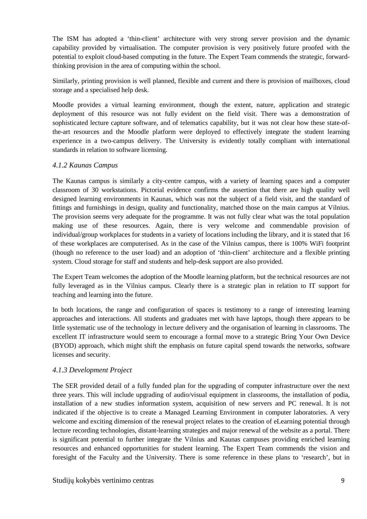The ISM has adopted a 'thin-client' architecture with very strong server provision and the dynamic capability provided by virtualisation. The computer provision is very positively future proofed with the potential to exploit cloud-based computing in the future. The Expert Team commends the strategic, forwardthinking provision in the area of computing within the school.

Similarly, printing provision is well planned, flexible and current and there is provision of mailboxes, cloud storage and a specialised help desk.

Moodle provides a virtual learning environment, though the extent, nature, application and strategic deployment of this resource was not fully evident on the field visit. There was a demonstration of sophisticated lecture capture software, and of telematics capability, but it was not clear how these state-ofthe-art resources and the Moodle platform were deployed to effectively integrate the student learning experience in a two-campus delivery. The University is evidently totally compliant with international standards in relation to software licensing.

#### *4.1.2 Kaunas Campus*

The Kaunas campus is similarly a city-centre campus, with a variety of learning spaces and a computer classroom of 30 workstations. Pictorial evidence confirms the assertion that there are high quality well designed learning environments in Kaunas, which was not the subject of a field visit, and the standard of fittings and furnishings in design, quality and functionality, matched those on the main campus at Vilnius. The provision seems very adequate for the programme. It was not fully clear what was the total population making use of these resources. Again, there is very welcome and commendable provision of individual/group workplaces for students in a variety of locations including the library, and it is stated that 16 of these workplaces are computerised. As in the case of the Vilnius campus, there is 100% WiFi footprint (though no reference to the user load) and an adoption of 'thin-client' architecture and a flexible printing system. Cloud storage for staff and students and help-desk support are also provided.

The Expert Team welcomes the adoption of the Moodle learning platform, but the technical resources are not fully leveraged as in the Vilnius campus. Clearly there is a strategic plan in relation to IT support for teaching and learning into the future.

In both locations, the range and configuration of spaces is testimony to a range of interesting learning approaches and interactions. All students and graduates met with have laptops, though there appears to be little systematic use of the technology in lecture delivery and the organisation of learning in classrooms. The excellent IT infrastructure would seem to encourage a formal move to a strategic Bring Your Own Device (BYOD) approach, which might shift the emphasis on future capital spend towards the networks, software licenses and security.

#### *4.1.3 Development Project*

The SER provided detail of a fully funded plan for the upgrading of computer infrastructure over the next three years. This will include upgrading of audio/visual equipment in classrooms, the installation of podia, installation of a new studies information system, acquisition of new servers and PC renewal. It is not indicated if the objective is to create a Managed Learning Environment in computer laboratories. A very welcome and exciting dimension of the renewal project relates to the creation of eLearning potential through lecture recording technologies, distant-learning strategies and major renewal of the website as a portal. There is significant potential to further integrate the Vilnius and Kaunas campuses providing enriched learning resources and enhanced opportunities for student learning. The Expert Team commends the vision and foresight of the Faculty and the University. There is some reference in these plans to 'research', but in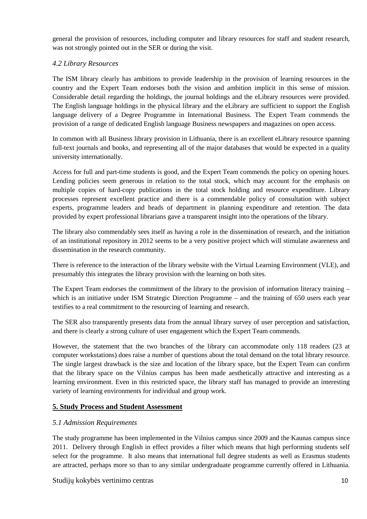general the provision of resources, including computer and library resources for staff and student research, was not strongly pointed out in the SER or during the visit.

#### *4.2 Library Resources*

The ISM library clearly has ambitions to provide leadership in the provision of learning resources in the country and the Expert Team endorses both the vision and ambition implicit in this sense of mission. Considerable detail regarding the holdings, the journal holdings and the eLibrary resources were provided. The English language holdings in the physical library and the eLibrary are sufficient to support the English language delivery of a Degree Programme in International Business. The Expert Team commends the provision of a range of dedicated English language Business newspapers and magazines on open access.

In common with all Business library provision in Lithuania, there is an excellent eLibrary resource spanning full-text journals and books, and representing all of the major databases that would be expected in a quality university internationally.

Access for full and part-time students is good, and the Expert Team commends the policy on opening hours. Lending policies seem generous in relation to the total stock, which may account for the emphasis on multiple copies of hard-copy publications in the total stock holding and resource expenditure. Library processes represent excellent practice and there is a commendable policy of consultation with subject experts, programme leaders and heads of department in planning expenditure and retention. The data provided by expert professional librarians gave a transparent insight into the operations of the library.

The library also commendably sees itself as having a role in the dissemination of research, and the initiation of an institutional repository in 2012 seems to be a very positive project which will stimulate awareness and dissemination in the research community.

There is reference to the interaction of the library website with the Virtual Learning Environment (VLE), and presumably this integrates the library provision with the learning on both sites.

The Expert Team endorses the commitment of the library to the provision of information literacy training – which is an initiative under ISM Strategic Direction Programme – and the training of 650 users each year testifies to a real commitment to the resourcing of learning and research.

The SER also transparently presents data from the annual library survey of user perception and satisfaction, and there is clearly a strong culture of user engagement which the Expert Team commends.

However, the statement that the two branches of the library can accommodate only 118 readers (23 at computer workstations) does raise a number of questions about the total demand on the total library resource. The single largest drawback is the size and location of the library space, but the Expert Team can confirm that the library space on the Vilnius campus has been made aesthetically attractive and interesting as a learning environment. Even in this restricted space, the library staff has managed to provide an interesting variety of learning environments for individual and group work.

#### **5. Study Process and Student Assessment**

#### *5.1 Admission Requirements*

The study programme has been implemented in the Vilnius campus since 2009 and the Kaunas campus since 2011. Delivery through English in effect provides a filter which means that high performing students self select for the programme. It also means that international full degree students as well as Erasmus students are attracted, perhaps more so than to any similar undergraduate programme currently offered in Lithuania.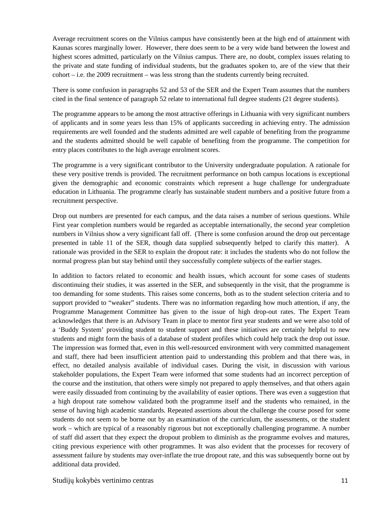Average recruitment scores on the Vilnius campus have consistently been at the high end of attainment with Kaunas scores marginally lower. However, there does seem to be a very wide band between the lowest and highest scores admitted, particularly on the Vilnius campus. There are, no doubt, complex issues relating to the private and state funding of individual students, but the graduates spoken to, are of the view that their cohort – i.e. the 2009 recruitment – was less strong than the students currently being recruited.

There is some confusion in paragraphs 52 and 53 of the SER and the Expert Team assumes that the numbers cited in the final sentence of paragraph 52 relate to international full degree students (21 degree students).

The programme appears to be among the most attractive offerings in Lithuania with very significant numbers of applicants and in some years less than 15% of applicants succeeding in achieving entry. The admission requirements are well founded and the students admitted are well capable of benefiting from the programme and the students admitted should be well capable of benefiting from the programme. The competition for entry places contributes to the high average enrolment scores.

The programme is a very significant contributor to the University undergraduate population. A rationale for these very positive trends is provided. The recruitment performance on both campus locations is exceptional given the demographic and economic constraints which represent a huge challenge for undergraduate education in Lithuania. The programme clearly has sustainable student numbers and a positive future from a recruitment perspective.

Drop out numbers are presented for each campus, and the data raises a number of serious questions. While First year completion numbers would be regarded as acceptable internationally, the second year completion numbers in Vilnius show a very significant fall off. (There is some confusion around the drop out percentage presented in table 11 of the SER, though data supplied subsequently helped to clarify this matter). A rationale was provided in the SER to explain the dropout rate: it includes the students who do not follow the normal progress plan but stay behind until they successfully complete subjects of the earlier stages.

In addition to factors related to economic and health issues, which account for some cases of students discontinuing their studies, it was asserted in the SER, and subsequently in the visit, that the programme is too demanding for some students. This raises some concerns, both as to the student selection criteria and to support provided to "weaker" students. There was no information regarding how much attention, if any, the Programme Management Committee has given to the issue of high drop-out rates. The Expert Team acknowledges that there is an Advisory Team in place to mentor first year students and we were also told of a 'Buddy System' providing student to student support and these initiatives are certainly helpful to new students and might form the basis of a database of student profiles which could help track the drop out issue. The impression was formed that, even in this well-resourced environment with very committed management and staff, there had been insufficient attention paid to understanding this problem and that there was, in effect, no detailed analysis available of individual cases. During the visit, in discussion with various stakeholder populations, the Expert Team were informed that some students had an incorrect perception of the course and the institution, that others were simply not prepared to apply themselves, and that others again were easily dissuaded from continuing by the availability of easier options. There was even a suggestion that a high dropout rate somehow validated both the programme itself and the students who remained, in the sense of having high academic standards. Repeated assertions about the challenge the course posed for some students do not seem to be borne out by an examination of the curriculum, the assessments, or the student work – which are typical of a reasonably rigorous but not exceptionally challenging programme. A number of staff did assert that they expect the dropout problem to diminish as the programme evolves and matures, citing previous experience with other programmes. It was also evident that the processes for recovery of assessment failure by students may over-inflate the true dropout rate, and this was subsequently borne out by additional data provided.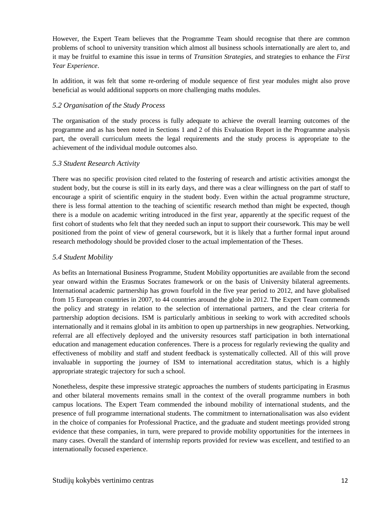However, the Expert Team believes that the Programme Team should recognise that there are common problems of school to university transition which almost all business schools internationally are alert to, and it may be fruitful to examine this issue in terms of *Transition Strategies*, and strategies to enhance the *First Year Experience*.

In addition, it was felt that some re-ordering of module sequence of first year modules might also prove beneficial as would additional supports on more challenging maths modules.

#### *5.2 Organisation of the Study Process*

The organisation of the study process is fully adequate to achieve the overall learning outcomes of the programme and as has been noted in Sections 1 and 2 of this Evaluation Report in the Programme analysis part, the overall curriculum meets the legal requirements and the study process is appropriate to the achievement of the individual module outcomes also.

#### *5.3 Student Research Activity*

There was no specific provision cited related to the fostering of research and artistic activities amongst the student body, but the course is still in its early days, and there was a clear willingness on the part of staff to encourage a spirit of scientific enquiry in the student body. Even within the actual programme structure, there is less formal attention to the teaching of scientific research method than might be expected, though there is a module on academic writing introduced in the first year, apparently at the specific request of the first cohort of students who felt that they needed such an input to support their coursework. This may be well positioned from the point of view of general coursework, but it is likely that a further formal input around research methodology should be provided closer to the actual implementation of the Theses.

#### *5.4 Student Mobility*

As befits an International Business Programme, Student Mobility opportunities are available from the second year onward within the Erasmus Socrates framework or on the basis of University bilateral agreements. International academic partnership has grown fourfold in the five year period to 2012, and have globalised from 15 European countries in 2007, to 44 countries around the globe in 2012. The Expert Team commends the policy and strategy in relation to the selection of international partners, and the clear criteria for partnership adoption decisions. ISM is particularly ambitious in seeking to work with accredited schools internationally and it remains global in its ambition to open up partnerships in new geographies. Networking, referral are all effectively deployed and the university resources staff participation in both international education and management education conferences. There is a process for regularly reviewing the quality and effectiveness of mobility and staff and student feedback is systematically collected. All of this will prove invaluable in supporting the journey of ISM to international accreditation status, which is a highly appropriate strategic trajectory for such a school.

Nonetheless, despite these impressive strategic approaches the numbers of students participating in Erasmus and other bilateral movements remains small in the context of the overall programme numbers in both campus locations. The Expert Team commended the inbound mobility of international students, and the presence of full programme international students. The commitment to internationalisation was also evident in the choice of companies for Professional Practice, and the graduate and student meetings provided strong evidence that these companies, in turn, were prepared to provide mobility opportunities for the internees in many cases. Overall the standard of internship reports provided for review was excellent, and testified to an internationally focused experience.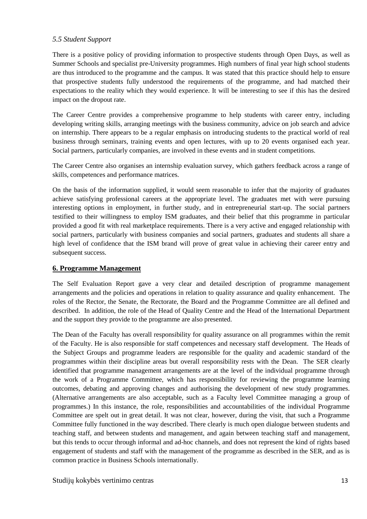#### *5.5 Student Support*

There is a positive policy of providing information to prospective students through Open Days, as well as Summer Schools and specialist pre-University programmes. High numbers of final year high school students are thus introduced to the programme and the campus. It was stated that this practice should help to ensure that prospective students fully understood the requirements of the programme, and had matched their expectations to the reality which they would experience. It will be interesting to see if this has the desired impact on the dropout rate.

The Career Centre provides a comprehensive programme to help students with career entry, including developing writing skills, arranging meetings with the business community, advice on job search and advice on internship. There appears to be a regular emphasis on introducing students to the practical world of real business through seminars, training events and open lectures, with up to 20 events organised each year. Social partners, particularly companies, are involved in these events and in student competitions.

The Career Centre also organises an internship evaluation survey, which gathers feedback across a range of skills, competences and performance matrices.

On the basis of the information supplied, it would seem reasonable to infer that the majority of graduates achieve satisfying professional careers at the appropriate level. The graduates met with were pursuing interesting options in employment, in further study, and in entrepreneurial start-up. The social partners testified to their willingness to employ ISM graduates, and their belief that this programme in particular provided a good fit with real marketplace requirements. There is a very active and engaged relationship with social partners, particularly with business companies and social partners, graduates and students all share a high level of confidence that the ISM brand will prove of great value in achieving their career entry and subsequent success.

#### **6. Programme Management**

The Self Evaluation Report gave a very clear and detailed description of programme management arrangements and the policies and operations in relation to quality assurance and quality enhancement. The roles of the Rector, the Senate, the Rectorate, the Board and the Programme Committee are all defined and described. In addition, the role of the Head of Quality Centre and the Head of the International Department and the support they provide to the programme are also presented.

The Dean of the Faculty has overall responsibility for quality assurance on all programmes within the remit of the Faculty. He is also responsible for staff competences and necessary staff development. The Heads of the Subject Groups and programme leaders are responsible for the quality and academic standard of the programmes within their discipline areas but overall responsibility rests with the Dean. The SER clearly identified that programme management arrangements are at the level of the individual programme through the work of a Programme Committee, which has responsibility for reviewing the programme learning outcomes, debating and approving changes and authorising the development of new study programmes. (Alternative arrangements are also acceptable, such as a Faculty level Committee managing a group of programmes.) In this instance, the role, responsibilities and accountabilities of the individual Programme Committee are spelt out in great detail. It was not clear, however, during the visit, that such a Programme Committee fully functioned in the way described. There clearly is much open dialogue between students and teaching staff, and between students and management, and again between teaching staff and management, but this tends to occur through informal and ad-hoc channels, and does not represent the kind of rights based engagement of students and staff with the management of the programme as described in the SER, and as is common practice in Business Schools internationally.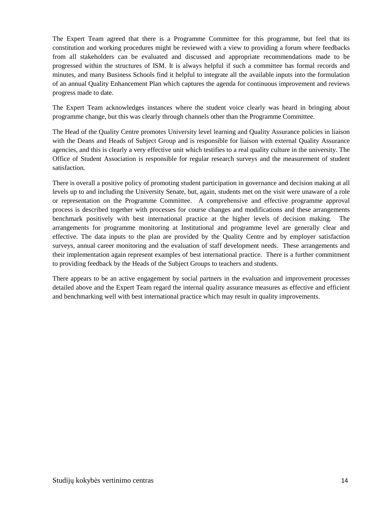The Expert Team agreed that there is a Programme Committee for this programme, but feel that its constitution and working procedures might be reviewed with a view to providing a forum where feedbacks from all stakeholders can be evaluated and discussed and appropriate recommendations made to be progressed within the structures of ISM. It is always helpful if such a committee has formal records and minutes, and many Business Schools find it helpful to integrate all the available inputs into the formulation of an annual Quality Enhancement Plan which captures the agenda for continuous improvement and reviews progress made to date.

The Expert Team acknowledges instances where the student voice clearly was heard in bringing about programme change, but this was clearly through channels other than the Programme Committee.

The Head of the Quality Centre promotes University level learning and Quality Assurance policies in liaison with the Deans and Heads of Subject Group and is responsible for liaison with external Quality Assurance agencies, and this is clearly a very effective unit which testifies to a real quality culture in the university. The Office of Student Association is responsible for regular research surveys and the measurement of student satisfaction.

There is overall a positive policy of promoting student participation in governance and decision making at all levels up to and including the University Senate, but, again, students met on the visit were unaware of a role or representation on the Programme Committee. A comprehensive and effective programme approval process is described together with processes for course changes and modifications and these arrangements benchmark positively with best international practice at the higher levels of decision making. The arrangements for programme monitoring at Institutional and programme level are generally clear and effective. The data inputs to the plan are provided by the Quality Centre and by employer satisfaction surveys, annual career monitoring and the evaluation of staff development needs. These arrangements and their implementation again represent examples of best international practice. There is a further commitment to providing feedback by the Heads of the Subject Groups to teachers and students.

There appears to be an active engagement by social partners in the evaluation and improvement processes detailed above and the Expert Team regard the internal quality assurance measures as effective and efficient and benchmarking well with best international practice which may result in quality improvements.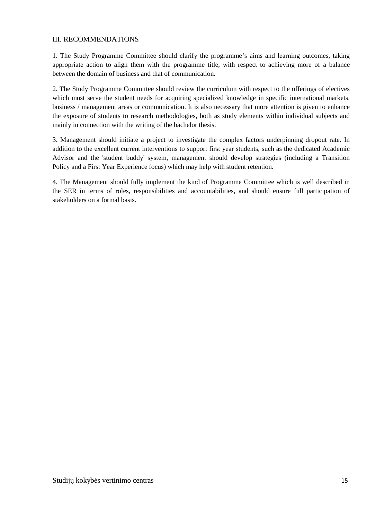#### III. RECOMMENDATIONS

1. The Study Programme Committee should clarify the programme's aims and learning outcomes, taking appropriate action to align them with the programme title, with respect to achieving more of a balance between the domain of business and that of communication.

2. The Study Programme Committee should review the curriculum with respect to the offerings of electives which must serve the student needs for acquiring specialized knowledge in specific international markets, business / management areas or communication. It is also necessary that more attention is given to enhance the exposure of students to research methodologies, both as study elements within individual subjects and mainly in connection with the writing of the bachelor thesis.

3. Management should initiate a project to investigate the complex factors underpinning dropout rate. In addition to the excellent current interventions to support first year students, such as the dedicated Academic Advisor and the 'student buddy' system, management should develop strategies (including a Transition Policy and a First Year Experience focus) which may help with student retention.

4. The Management should fully implement the kind of Programme Committee which is well described in the SER in terms of roles, responsibilities and accountabilities, and should ensure full participation of stakeholders on a formal basis.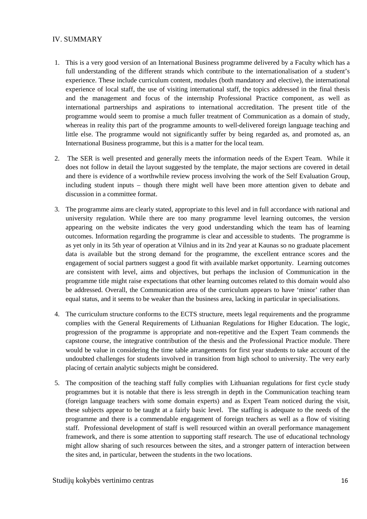#### IV. SUMMARY

- 1. This is a very good version of an International Business programme delivered by a Faculty which has a full understanding of the different strands which contribute to the internationalisation of a student's experience. These include curriculum content, modules (both mandatory and elective), the international experience of local staff, the use of visiting international staff, the topics addressed in the final thesis and the management and focus of the internship Professional Practice component, as well as international partnerships and aspirations to international accreditation. The present title of the programme would seem to promise a much fuller treatment of Communication as a domain of study, whereas in reality this part of the programme amounts to well-delivered foreign language teaching and little else. The programme would not significantly suffer by being regarded as, and promoted as, an International Business programme, but this is a matter for the local team.
- 2. The SER is well presented and generally meets the information needs of the Expert Team. While it does not follow in detail the layout suggested by the template, the major sections are covered in detail and there is evidence of a worthwhile review process involving the work of the Self Evaluation Group, including student inputs – though there might well have been more attention given to debate and discussion in a committee format.
- 3. The programme aims are clearly stated, appropriate to this level and in full accordance with national and university regulation. While there are too many programme level learning outcomes, the version appearing on the website indicates the very good understanding which the team has of learning outcomes. Information regarding the programme is clear and accessible to students. The programme is as yet only in its 5th year of operation at Vilnius and in its 2nd year at Kaunas so no graduate placement data is available but the strong demand for the programme, the excellent entrance scores and the engagement of social partners suggest a good fit with available market opportunity. Learning outcomes are consistent with level, aims and objectives, but perhaps the inclusion of Communication in the programme title might raise expectations that other learning outcomes related to this domain would also be addressed. Overall, the Communication area of the curriculum appears to have 'minor' rather than equal status, and it seems to be weaker than the business area, lacking in particular in specialisations.
- 4. The curriculum structure conforms to the ECTS structure, meets legal requirements and the programme complies with the General Requirements of Lithuanian Regulations for Higher Education. The logic, progression of the programme is appropriate and non-repetitive and the Expert Team commends the capstone course, the integrative contribution of the thesis and the Professional Practice module. There would be value in considering the time table arrangements for first year students to take account of the undoubted challenges for students involved in transition from high school to university. The very early placing of certain analytic subjects might be considered.
- 5. The composition of the teaching staff fully complies with Lithuanian regulations for first cycle study programmes but it is notable that there is less strength in depth in the Communication teaching team (foreign language teachers with some domain experts) and as Expert Team noticed during the visit, these subjects appear to be taught at a fairly basic level. The staffing is adequate to the needs of the programme and there is a commendable engagement of foreign teachers as well as a flow of visiting staff. Professional development of staff is well resourced within an overall performance management framework, and there is some attention to supporting staff research. The use of educational technology might allow sharing of such resources between the sites, and a stronger pattern of interaction between the sites and, in particular, between the students in the two locations.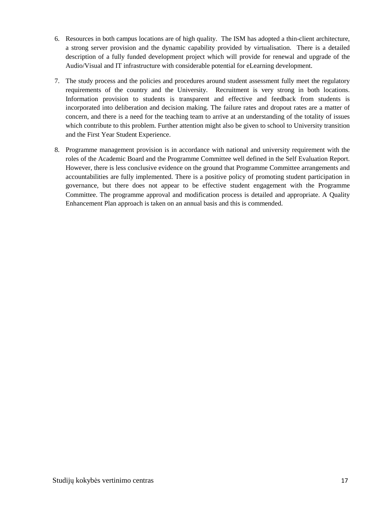- 6. Resources in both campus locations are of high quality. The ISM has adopted a thin-client architecture, a strong server provision and the dynamic capability provided by virtualisation. There is a detailed description of a fully funded development project which will provide for renewal and upgrade of the Audio/Visual and IT infrastructure with considerable potential for eLearning development.
- 7. The study process and the policies and procedures around student assessment fully meet the regulatory requirements of the country and the University. Recruitment is very strong in both locations. Information provision to students is transparent and effective and feedback from students is incorporated into deliberation and decision making. The failure rates and dropout rates are a matter of concern, and there is a need for the teaching team to arrive at an understanding of the totality of issues which contribute to this problem. Further attention might also be given to school to University transition and the First Year Student Experience.
- 8. Programme management provision is in accordance with national and university requirement with the roles of the Academic Board and the Programme Committee well defined in the Self Evaluation Report. However, there is less conclusive evidence on the ground that Programme Committee arrangements and accountabilities are fully implemented. There is a positive policy of promoting student participation in governance, but there does not appear to be effective student engagement with the Programme Committee. The programme approval and modification process is detailed and appropriate. A Quality Enhancement Plan approach is taken on an annual basis and this is commended.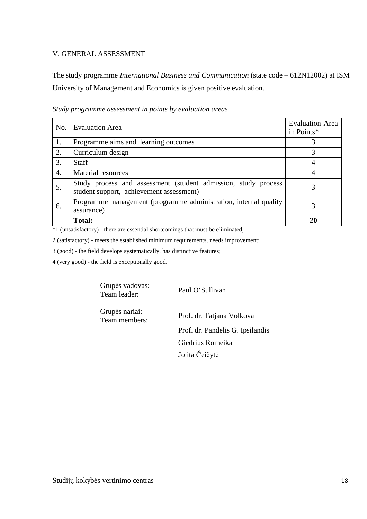#### V. GENERAL ASSESSMENT

The study programme *International Business and Communication* (state code – 612N12002) at ISM University of Management and Economics is given positive evaluation.

| No. | <b>Evaluation Area</b>                                                                                     | <b>Evaluation Area</b><br>in Points* |
|-----|------------------------------------------------------------------------------------------------------------|--------------------------------------|
| 1.  | Programme aims and learning outcomes                                                                       |                                      |
| 2.  | Curriculum design                                                                                          | 3                                    |
| 3.  | <b>Staff</b>                                                                                               |                                      |
| 4.  | <b>Material resources</b>                                                                                  |                                      |
| 5.  | Study process and assessment (student admission, study process<br>student support, achievement assessment) |                                      |
| 6.  | Programme management (programme administration, internal quality<br>assurance)                             |                                      |
|     | <b>Total:</b>                                                                                              |                                      |

*Study programme assessment in points by evaluation areas*.

\*1 (unsatisfactory) - there are essential shortcomings that must be eliminated;

2 (satisfactory) - meets the established minimum requirements, needs improvement;

3 (good) - the field develops systematically, has distinctive features;

4 (very good) - the field is exceptionally good.

Grupės vadovas:<br>Team leader:

Paul O'Sullivan

Grupės nariai:

Team members: Prof. dr. Tatjana Volkova Prof. dr. Pandelis G. Ipsilandis Giedrius Romeika Jolita Čeičytė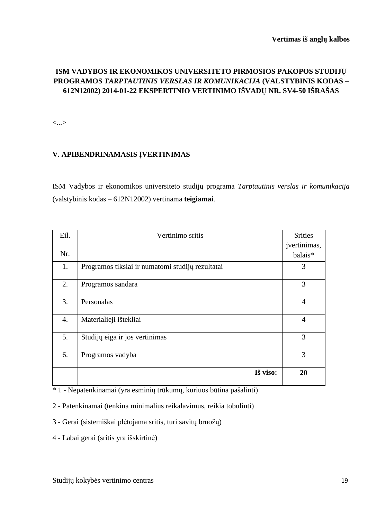### **ISM VADYBOS IR EKONOMIKOS UNIVERSITETO PIRMOSIOS PAKOPOS STUDIJŲ PROGRAMOS** *TARPTAUTINIS VERSLAS IR KOMUNIKACIJA* **(VALSTYBINIS KODAS – 612N12002) 2014-01-22 EKSPERTINIO VERTINIMO IŠVADŲ NR. SV4-50 IŠRAŠAS**

<...>

#### **V. APIBENDRINAMASIS ĮVERTINIMAS**

ISM Vadybos ir ekonomikos universiteto studijų programa *Tarptautinis verslas ir komunikacija*  (valstybinis kodas – 612N12002) vertinama **teigiamai**.

| Eil.             | Vertinimo sritis                                 | <b>Srities</b> |
|------------------|--------------------------------------------------|----------------|
|                  |                                                  | jvertinimas,   |
| Nr.              |                                                  | balais*        |
| 1.               | Programos tikslai ir numatomi studijų rezultatai | 3              |
| 2.               | Programos sandara                                | 3              |
| 3.               | Personalas                                       | $\overline{4}$ |
| $\overline{4}$ . | Materialieji ištekliai                           | $\overline{4}$ |
| 5.               | Studijų eiga ir jos vertinimas                   | 3              |
| 6.               | Programos vadyba                                 | 3              |
|                  | Iš viso:                                         | 20             |

\* 1 - Nepatenkinamai (yra esminių trūkumų, kuriuos būtina pašalinti)

2 - Patenkinamai (tenkina minimalius reikalavimus, reikia tobulinti)

3 - Gerai (sistemiškai plėtojama sritis, turi savitų bruožų)

4 - Labai gerai (sritis yra išskirtinė)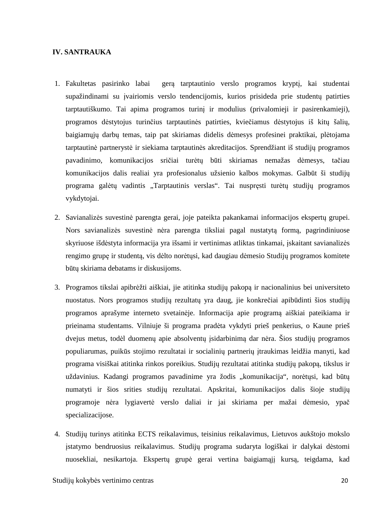#### **IV. SANTRAUKA**

- 1. Fakultetas pasirinko labai gerą tarptautinio verslo programos kryptį, kai studentai supažindinami su įvairiomis verslo tendencijomis, kurios prisideda prie studentų patirties tarptautiškumo. Tai apima programos turinį ir modulius (privalomieji ir pasirenkamieji), programos dėstytojus turinčius tarptautinės patirties, kviečiamus dėstytojus iš kitų šalių, baigiamųjų darbų temas, taip pat skiriamas didelis dėmesys profesinei praktikai, plėtojama tarptautinė partnerystė ir siekiama tarptautinės akreditacijos. Sprendžiant iš studijų programos pavadinimo, komunikacijos sričiai turėtų būti skiriamas nemažas dėmesys, tačiau komunikacijos dalis realiai yra profesionalus užsienio kalbos mokymas. Galbūt ši studijų programa galėtų vadintis "Tarptautinis verslas". Tai nuspręsti turėtų studijų programos vykdytojai.
- 2. Savianalizės suvestinė parengta gerai, joje pateikta pakankamai informacijos ekspertų grupei. Nors savianalizės suvestinė nėra parengta tiksliai pagal nustatytą formą, pagrindiniuose skyriuose išdėstyta informacija yra išsami ir vertinimas atliktas tinkamai, įskaitant savianalizės rengimo grupę ir studentą, vis dėlto norėtųsi, kad daugiau dėmesio Studijų programos komitete būtų skiriama debatams ir diskusijoms.
- 3. Programos tikslai apibrėžti aiškiai, jie atitinka studijų pakopą ir nacionalinius bei universiteto nuostatus. Nors programos studijų rezultatų yra daug, jie konkrečiai apibūdinti šios studijų programos aprašyme interneto svetainėje. Informacija apie programą aiškiai pateikiama ir prieinama studentams. Vilniuje ši programa pradėta vykdyti prieš penkerius, o Kaune prieš dvejus metus, todėl duomenų apie absolventų įsidarbinimą dar nėra. Šios studijų programos populiarumas, puikūs stojimo rezultatai ir socialinių partnerių įtraukimas leidžia manyti, kad programa visiškai atitinka rinkos poreikius. Studijų rezultatai atitinka studijų pakopą, tikslus ir uždavinius. Kadangi programos pavadinime yra žodis "komunikacija", norėtųsi, kad būtų numatyti ir šios srities studijų rezultatai. Apskritai, komunikacijos dalis šioje studijų programoje nėra lygiavertė verslo daliai ir jai skiriama per mažai dėmesio, ypač specializacijose.
- 4. Studijų turinys atitinka ECTS reikalavimus, teisinius reikalavimus, Lietuvos aukštojo mokslo įstatymo bendruosius reikalavimus. Studijų programa sudaryta logiškai ir dalykai dėstomi nuosekliai, nesikartoja. Ekspertų grupė gerai vertina baigiamąjį kursą, teigdama, kad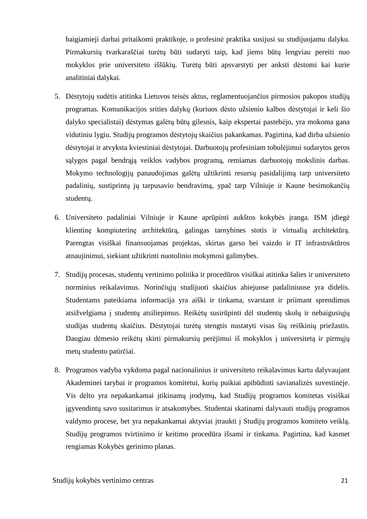baigiamieji darbai pritaikomi praktikoje, o profesinė praktika susijusi su studijuojamu dalyku. Pirmakursių tvarkaraščiai turėtų būti sudaryti taip, kad jiems būtų lengviau pereiti nuo mokyklos prie universiteto iššūkių. Turėtų būti apsvarstyti per anksti dėstomi kai kurie analitiniai dalykai.

- 5. Dėstytojų sudėtis atitinka Lietuvos teisės aktus, reglamentuojančius pirmosios pakopos studijų programas. Komunikacijos srities dalykų (kuriuos dėsto užsienio kalbos dėstytojai ir keli šio dalyko specialistai) dėstymas galėtų būtų gilesnis, kaip ekspertai pastebėjo, yra mokoma gana vidutiniu lygiu. Studijų programos dėstytojų skaičius pakankamas. Pagirtina, kad dirba užsienio dėstytojai ir atvyksta kviestiniai dėstytojai. Darbuotojų profesiniam tobulėjimui sudarytos geros sąlygos pagal bendrąją veiklos vadybos programą, remiamas darbuotojų mokslinis darbas. Mokymo technologijų panaudojimas galėtų užtikrinti resursų pasidalijimą tarp universiteto padalinių, sustiprintų jų tarpusavio bendravimą, ypač tarp Vilniuje ir Kaune besimokančių studentų.
- 6. Universiteto padaliniai Vilniuje ir Kaune aprūpinti aukštos kokybės įranga. ISM įdiegė klientinę kompiuterinę architektūrą, galingas tarnybines stotis ir virtualią architektūrą. Parengtas visiškai finansuojamas projektas, skirtas garso bei vaizdo ir IT infrastruktūros atnaujinimui, siekiant užtikrinti nuotolinio mokymosi galimybes.
- 7. Studijų procesas, studentų vertinimo politika ir procedūros visiškai atitinka šalies ir universiteto norminius reikalavimus. Norinčiųjų studijuoti skaičius abiejuose padaliniuose yra didelis. Studentams pateikiama informacija yra aiški ir tinkama, svarstant ir priimant sprendimus atsižvelgiama į studentų atsiliepimus. Reikėtų susirūpinti dėl studentų skolų ir nebaigusiųjų studijas studentų skaičius. Dėstytojai turėtų stengtis nustatyti visas šių reiškinių priežastis. Daugiau dėmesio reikėtų skirti pirmakursių perėjimui iš mokyklos į universitetą ir pirmųjų metų studento patirčiai.
- 8. Programos vadyba vykdoma pagal nacionalinius ir universiteto reikalavimus kartu dalyvaujant Akademinei tarybai ir programos komitetui, kurių puikiai apibūdinti savianalizės suvestinėje. Vis dėlto yra nepakankamai įtikinamų įrodymų, kad Studijų programos komitetas visiškai įgyvendintų savo susitarimus ir atsakomybes. Studentai skatinami dalyvauti studijų programos valdymo procese, bet yra nepakankamai aktyviai įtraukti į Studijų programos komiteto veiklą. Studijų programos tvirtinimo ir keitimo procedūra išsami ir tinkama. Pagirtina, kad kasmet rengiamas Kokybės gerinimo planas.